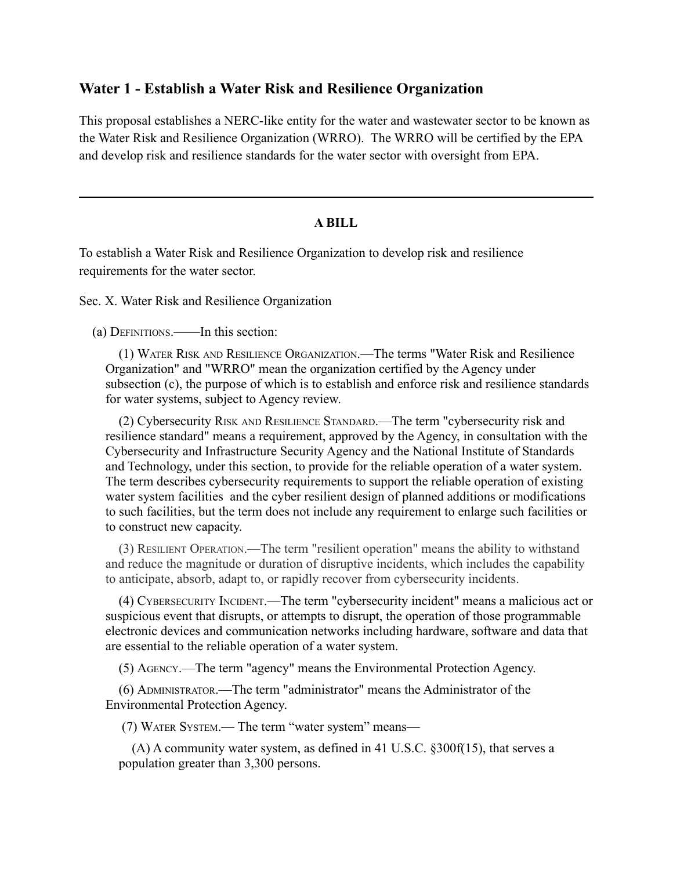## **Water 1 - Establish a Water Risk and Resilience Organization**

This proposal establishes a NERC-like entity for the water and wastewater sector to be known as the Water Risk and Resilience Organization (WRRO). The WRRO will be certified by the EPA and develop risk and resilience standards for the water sector with oversight from EPA.

## **A BILL**

To establish a Water Risk and Resilience Organization to develop risk and resilience requirements for the water sector.

Sec. X. Water Risk and Resilience Organization

(a) DEFINITIONS.——In this section:

(1) WATER RISK AND RESILIENCE ORGANIZATION.—The terms "Water Risk and Resilience Organization" and "WRRO" mean the organization certified by the Agency under subsection (c), the purpose of which is to establish and enforce risk and resilience standards for water systems, subject to Agency review.

(2) Cybersecurity RISK AND RESILIENCE STANDARD.—The term "cybersecurity risk and resilience standard" means a requirement, approved by the Agency, in consultation with the Cybersecurity and Infrastructure Security Agency and the National Institute of Standards and Technology, under this section, to provide for the reliable operation of a water system. The term describes cybersecurity requirements to support the reliable operation of existing water system facilities and the cyber resilient design of planned additions or modifications to such facilities, but the term does not include any requirement to enlarge such facilities or to construct new capacity.

(3) RESILIENT OPERATION.—The term "resilient operation" means the ability to withstand and reduce the magnitude or duration of disruptive incidents, which includes the capability to anticipate, absorb, adapt to, or rapidly recover from cybersecurity incidents.

(4) CYBERSECURITY INCIDENT.—The term "cybersecurity incident" means a malicious act or suspicious event that disrupts, or attempts to disrupt, the operation of those programmable electronic devices and communication networks including hardware, software and data that are essential to the reliable operation of a water system.

(5) AGENCY.—The term "agency" means the Environmental Protection Agency.

(6) ADMINISTRATOR.—The term "administrator" means the Administrator of the Environmental Protection Agency.

(7) WATER SYSTEM.— The term "water system" means—

(A) A community water system, as defined in 41 U.S.C. §300f(15), that serves a population greater than 3,300 persons.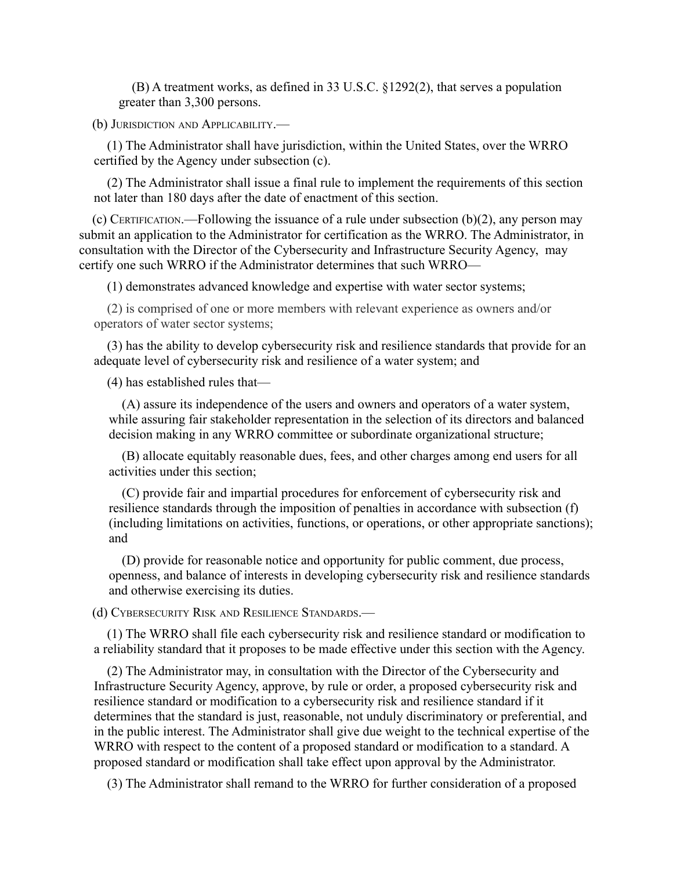(B) A treatment works, as defined in 33 U.S.C. §1292(2), that serves a population greater than 3,300 persons.

(b) JURISDICTION AND APPLICABILITY.—

(1) The Administrator shall have jurisdiction, within the United States, over the WRRO certified by the Agency under subsection (c).

(2) The Administrator shall issue a final rule to implement the requirements of this section not later than 180 days after the date of enactment of this section.

(c) CERTIFICATION.—Following the issuance of a rule under subsection  $(b)(2)$ , any person may submit an application to the Administrator for certification as the WRRO. The Administrator, in consultation with the Director of the Cybersecurity and Infrastructure Security Agency, may certify one such WRRO if the Administrator determines that such WRRO—

(1) demonstrates advanced knowledge and expertise with water sector systems;

(2) is comprised of one or more members with relevant experience as owners and/or operators of water sector systems;

(3) has the ability to develop cybersecurity risk and resilience standards that provide for an adequate level of cybersecurity risk and resilience of a water system; and

(4) has established rules that—

(A) assure its independence of the users and owners and operators of a water system, while assuring fair stakeholder representation in the selection of its directors and balanced decision making in any WRRO committee or subordinate organizational structure;

(B) allocate equitably reasonable dues, fees, and other charges among end users for all activities under this section;

(C) provide fair and impartial procedures for enforcement of cybersecurity risk and resilience standards through the imposition of penalties in accordance with subsection (f) (including limitations on activities, functions, or operations, or other appropriate sanctions); and

(D) provide for reasonable notice and opportunity for public comment, due process, openness, and balance of interests in developing cybersecurity risk and resilience standards and otherwise exercising its duties.

(d) CYBERSECURITY RISK AND RESILIENCE STANDARDS.—

(1) The WRRO shall file each cybersecurity risk and resilience standard or modification to a reliability standard that it proposes to be made effective under this section with the Agency.

(2) The Administrator may, in consultation with the Director of the Cybersecurity and Infrastructure Security Agency, approve, by rule or order, a proposed cybersecurity risk and resilience standard or modification to a cybersecurity risk and resilience standard if it determines that the standard is just, reasonable, not unduly discriminatory or preferential, and in the public interest. The Administrator shall give due weight to the technical expertise of the WRRO with respect to the content of a proposed standard or modification to a standard. A proposed standard or modification shall take effect upon approval by the Administrator.

(3) The Administrator shall remand to the WRRO for further consideration of a proposed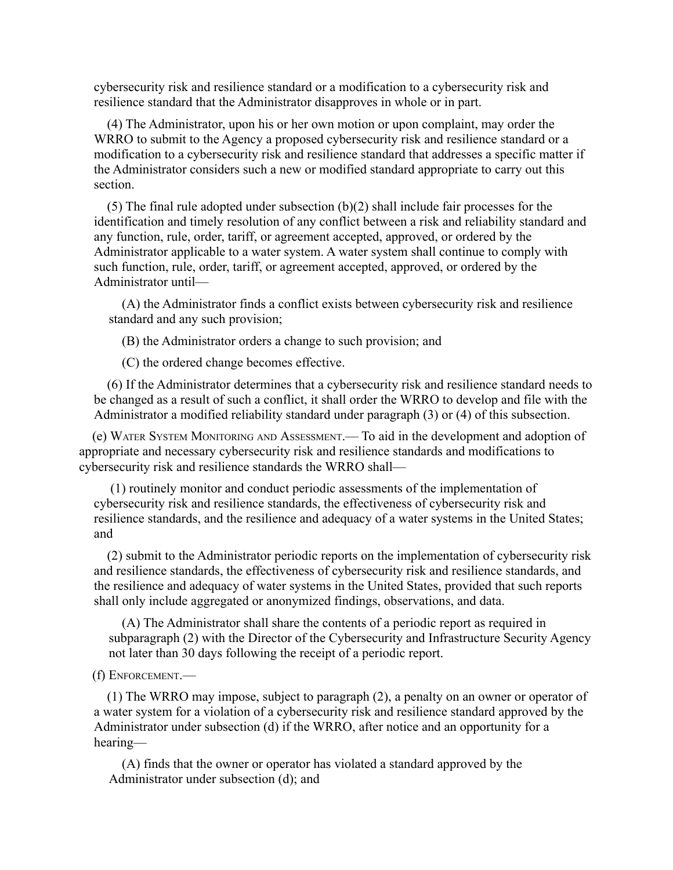cybersecurity risk and resilience standard or a modification to a cybersecurity risk and resilience standard that the Administrator disapproves in whole or in part.

(4) The Administrator, upon his or her own motion or upon complaint, may order the WRRO to submit to the Agency a proposed cybersecurity risk and resilience standard or a modification to a cybersecurity risk and resilience standard that addresses a specific matter if the Administrator considers such a new or modified standard appropriate to carry out this section.

(5) The final rule adopted under subsection (b)(2) shall include fair processes for the identification and timely resolution of any conflict between a risk and reliability standard and any function, rule, order, tariff, or agreement accepted, approved, or ordered by the Administrator applicable to a water system. A water system shall continue to comply with such function, rule, order, tariff, or agreement accepted, approved, or ordered by the Administrator until—

(A) the Administrator finds a conflict exists between cybersecurity risk and resilience standard and any such provision;

(B) the Administrator orders a change to such provision; and

(C) the ordered change becomes effective.

(6) If the Administrator determines that a cybersecurity risk and resilience standard needs to be changed as a result of such a conflict, it shall order the WRRO to develop and file with the Administrator a modified reliability standard under paragraph (3) or (4) of this subsection.

(e) WATER SYSTEM MONITORING AND ASSESSMENT.— To aid in the development and adoption of appropriate and necessary cybersecurity risk and resilience standards and modifications to cybersecurity risk and resilience standards the WRRO shall—

(1) routinely monitor and conduct periodic assessments of the implementation of cybersecurity risk and resilience standards, the effectiveness of cybersecurity risk and resilience standards, and the resilience and adequacy of a water systems in the United States; and

(2) submit to the Administrator periodic reports on the implementation of cybersecurity risk and resilience standards, the effectiveness of cybersecurity risk and resilience standards, and the resilience and adequacy of water systems in the United States, provided that such reports shall only include aggregated or anonymized findings, observations, and data.

(A) The Administrator shall share the contents of a periodic report as required in subparagraph (2) with the Director of the Cybersecurity and Infrastructure Security Agency not later than 30 days following the receipt of a periodic report.

(f) ENFORCEMENT.—

(1) The WRRO may impose, subject to paragraph (2), a penalty on an owner or operator of a water system for a violation of a cybersecurity risk and resilience standard approved by the Administrator under subsection (d) if the WRRO, after notice and an opportunity for a hearing—

(A) finds that the owner or operator has violated a standard approved by the Administrator under subsection (d); and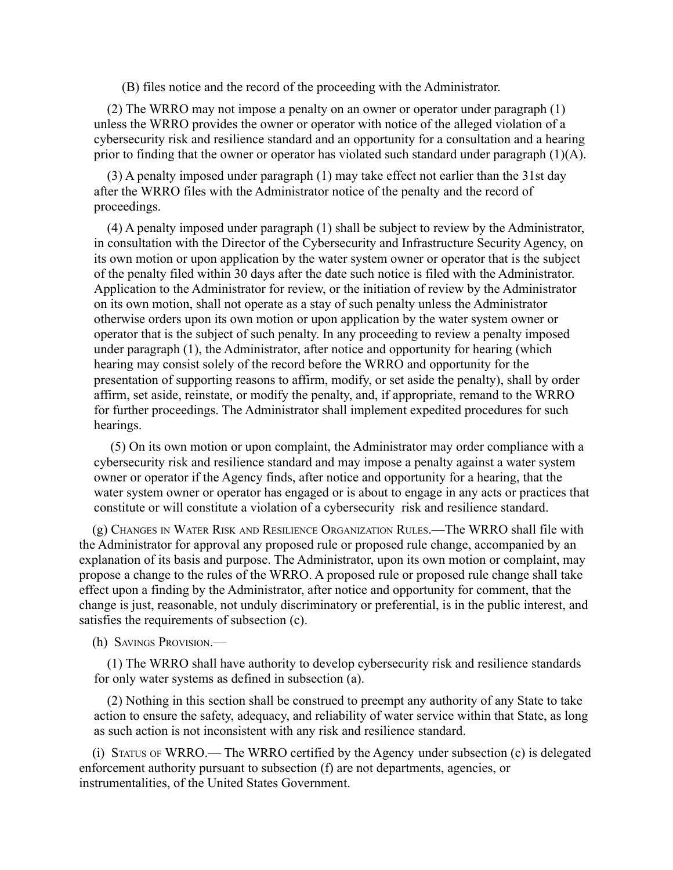(B) files notice and the record of the proceeding with the Administrator.

(2) The WRRO may not impose a penalty on an owner or operator under paragraph (1) unless the WRRO provides the owner or operator with notice of the alleged violation of a cybersecurity risk and resilience standard and an opportunity for a consultation and a hearing prior to finding that the owner or operator has violated such standard under paragraph (1)(A).

(3) A penalty imposed under paragraph (1) may take effect not earlier than the 31st day after the WRRO files with the Administrator notice of the penalty and the record of proceedings.

(4) A penalty imposed under paragraph (1) shall be subject to review by the Administrator, in consultation with the Director of the Cybersecurity and Infrastructure Security Agency, on its own motion or upon application by the water system owner or operator that is the subject of the penalty filed within 30 days after the date such notice is filed with the Administrator. Application to the Administrator for review, or the initiation of review by the Administrator on its own motion, shall not operate as a stay of such penalty unless the Administrator otherwise orders upon its own motion or upon application by the water system owner or operator that is the subject of such penalty. In any proceeding to review a penalty imposed under paragraph (1), the Administrator, after notice and opportunity for hearing (which hearing may consist solely of the record before the WRRO and opportunity for the presentation of supporting reasons to affirm, modify, or set aside the penalty), shall by order affirm, set aside, reinstate, or modify the penalty, and, if appropriate, remand to the WRRO for further proceedings. The Administrator shall implement expedited procedures for such hearings.

(5) On its own motion or upon complaint, the Administrator may order compliance with a cybersecurity risk and resilience standard and may impose a penalty against a water system owner or operator if the Agency finds, after notice and opportunity for a hearing, that the water system owner or operator has engaged or is about to engage in any acts or practices that constitute or will constitute a violation of a cybersecurity risk and resilience standard.

(g) CHANGES IN WATER RISK AND RESILIENCE ORGANIZATION RULES.—The WRRO shall file with the Administrator for approval any proposed rule or proposed rule change, accompanied by an explanation of its basis and purpose. The Administrator, upon its own motion or complaint, may propose a change to the rules of the WRRO. A proposed rule or proposed rule change shall take effect upon a finding by the Administrator, after notice and opportunity for comment, that the change is just, reasonable, not unduly discriminatory or preferential, is in the public interest, and satisfies the requirements of subsection (c).

(h) SAVINGS PROVISION.—

(1) The WRRO shall have authority to develop cybersecurity risk and resilience standards for only water systems as defined in subsection (a).

(2) Nothing in this section shall be construed to preempt any authority of any State to take action to ensure the safety, adequacy, and reliability of water service within that State, as long as such action is not inconsistent with any risk and resilience standard.

(i) STATUS OF WRRO.— The WRRO certified by the Agency under subsection (c) is delegated enforcement authority pursuant to subsection (f) are not departments, agencies, or instrumentalities, of the United States Government.